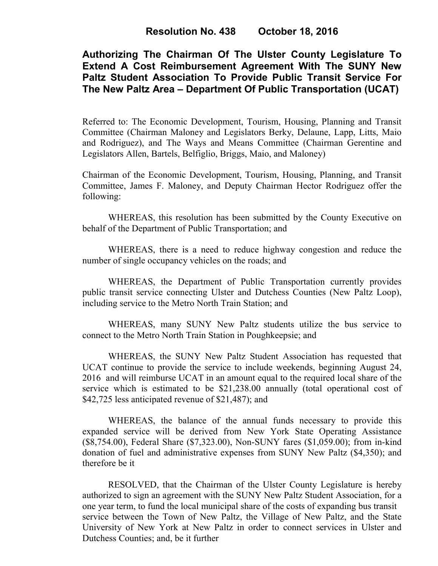# **Authorizing The Chairman Of The Ulster County Legislature To Extend A Cost Reimbursement Agreement With The SUNY New Paltz Student Association To Provide Public Transit Service For The New Paltz Area – Department Of Public Transportation (UCAT)**

Referred to: The Economic Development, Tourism, Housing, Planning and Transit Committee (Chairman Maloney and Legislators Berky, Delaune, Lapp, Litts, Maio and Rodriguez), and The Ways and Means Committee (Chairman Gerentine and Legislators Allen, Bartels, Belfiglio, Briggs, Maio, and Maloney)

Chairman of the Economic Development, Tourism, Housing, Planning, and Transit Committee, James F. Maloney, and Deputy Chairman Hector Rodriguez offer the following:

WHEREAS, this resolution has been submitted by the County Executive on behalf of the Department of Public Transportation; and

WHEREAS, there is a need to reduce highway congestion and reduce the number of single occupancy vehicles on the roads; and

WHEREAS, the Department of Public Transportation currently provides public transit service connecting Ulster and Dutchess Counties (New Paltz Loop), including service to the Metro North Train Station; and

WHEREAS, many SUNY New Paltz students utilize the bus service to connect to the Metro North Train Station in Poughkeepsie; and

WHEREAS, the SUNY New Paltz Student Association has requested that UCAT continue to provide the service to include weekends, beginning August 24, 2016 and will reimburse UCAT in an amount equal to the required local share of the service which is estimated to be \$21,238.00 annually (total operational cost of \$42,725 less anticipated revenue of \$21,487); and

 WHEREAS, the balance of the annual funds necessary to provide this expanded service will be derived from New York State Operating Assistance (\$8,754.00), Federal Share (\$7,323.00), Non-SUNY fares (\$1,059.00); from in-kind donation of fuel and administrative expenses from SUNY New Paltz (\$4,350); and therefore be it

RESOLVED, that the Chairman of the Ulster County Legislature is hereby authorized to sign an agreement with the SUNY New Paltz Student Association, for a one year term, to fund the local municipal share of the costs of expanding bus transit service between the Town of New Paltz, the Village of New Paltz, and the State University of New York at New Paltz in order to connect services in Ulster and Dutchess Counties; and, be it further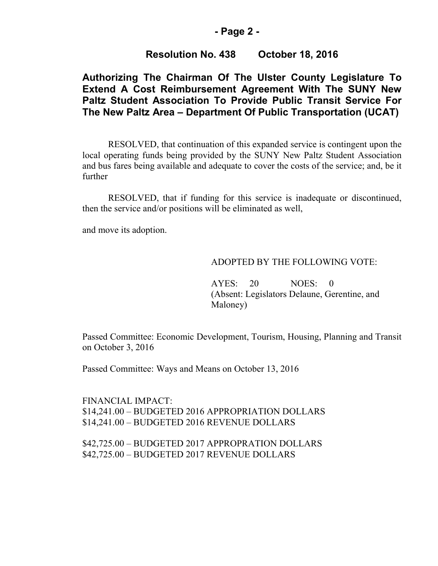### **- Page 2 -**

### **Resolution No. 438 October 18, 2016**

## **Authorizing The Chairman Of The Ulster County Legislature To Extend A Cost Reimbursement Agreement With The SUNY New Paltz Student Association To Provide Public Transit Service For The New Paltz Area – Department Of Public Transportation (UCAT)**

RESOLVED, that continuation of this expanded service is contingent upon the local operating funds being provided by the SUNY New Paltz Student Association and bus fares being available and adequate to cover the costs of the service; and, be it further

RESOLVED, that if funding for this service is inadequate or discontinued, then the service and/or positions will be eliminated as well,

and move its adoption.

#### ADOPTED BY THE FOLLOWING VOTE:

AYES: 20 NOES: 0 (Absent: Legislators Delaune, Gerentine, and Maloney)

Passed Committee: Economic Development, Tourism, Housing, Planning and Transit on October 3, 2016

Passed Committee: Ways and Means on October 13, 2016

FINANCIAL IMPACT: \$14,241.00 – BUDGETED 2016 APPROPRIATION DOLLARS \$14,241.00 – BUDGETED 2016 REVENUE DOLLARS

\$42,725.00 – BUDGETED 2017 APPROPRATION DOLLARS \$42,725.00 – BUDGETED 2017 REVENUE DOLLARS